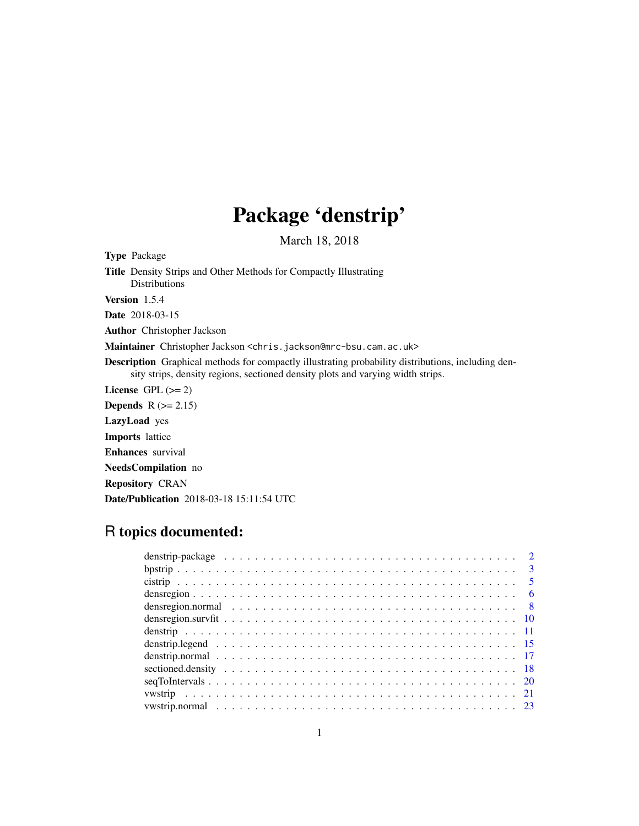## Package 'denstrip'

March 18, 2018

<span id="page-0-0"></span>Type Package Title Density Strips and Other Methods for Compactly Illustrating **Distributions** Version 1.5.4 Date 2018-03-15 Author Christopher Jackson Maintainer Christopher Jackson <chris.jackson@mrc-bsu.cam.ac.uk> Description Graphical methods for compactly illustrating probability distributions, including density strips, density regions, sectioned density plots and varying width strips. License GPL  $(>= 2)$ **Depends**  $R$  ( $>= 2.15$ ) LazyLoad yes Imports lattice Enhances survival NeedsCompilation no Repository CRAN Date/Publication 2018-03-18 15:11:54 UTC

## R topics documented:

| densregion.normal $\ldots \ldots \ldots \ldots \ldots \ldots \ldots \ldots \ldots \ldots \ldots \ldots \ldots$ |  |  |  |  |  |  |  |  |  |  |  |  |  |  |  |  |  |  |  |
|----------------------------------------------------------------------------------------------------------------|--|--|--|--|--|--|--|--|--|--|--|--|--|--|--|--|--|--|--|
|                                                                                                                |  |  |  |  |  |  |  |  |  |  |  |  |  |  |  |  |  |  |  |
|                                                                                                                |  |  |  |  |  |  |  |  |  |  |  |  |  |  |  |  |  |  |  |
|                                                                                                                |  |  |  |  |  |  |  |  |  |  |  |  |  |  |  |  |  |  |  |
|                                                                                                                |  |  |  |  |  |  |  |  |  |  |  |  |  |  |  |  |  |  |  |
|                                                                                                                |  |  |  |  |  |  |  |  |  |  |  |  |  |  |  |  |  |  |  |
|                                                                                                                |  |  |  |  |  |  |  |  |  |  |  |  |  |  |  |  |  |  |  |
|                                                                                                                |  |  |  |  |  |  |  |  |  |  |  |  |  |  |  |  |  |  |  |
|                                                                                                                |  |  |  |  |  |  |  |  |  |  |  |  |  |  |  |  |  |  |  |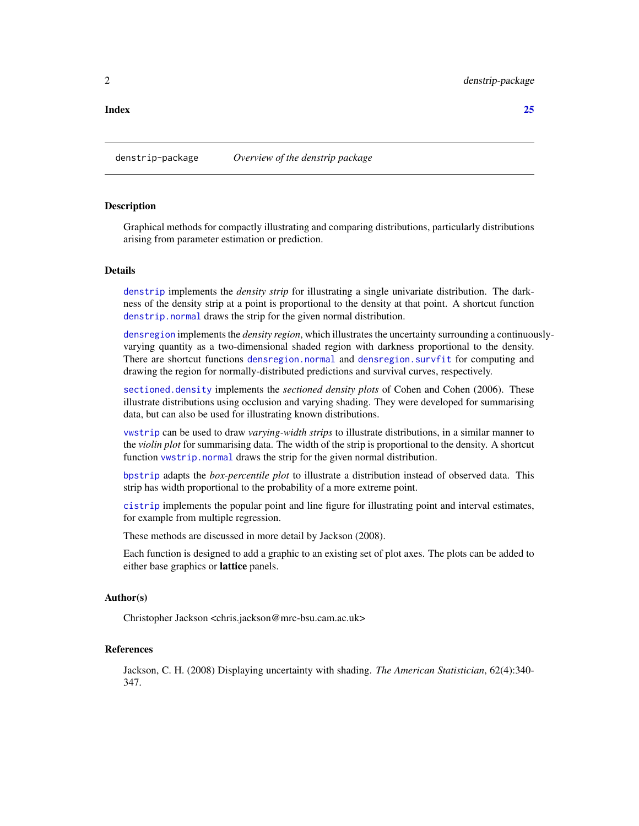#### <span id="page-1-0"></span>**Index** [25](#page-24-0)

### **Description**

Graphical methods for compactly illustrating and comparing distributions, particularly distributions arising from parameter estimation or prediction.

### Details

[denstrip](#page-10-1) implements the *density strip* for illustrating a single univariate distribution. The darkness of the density strip at a point is proportional to the density at that point. A shortcut function [denstrip.normal](#page-16-1) draws the strip for the given normal distribution.

[densregion](#page-5-1) implements the *density region*, which illustrates the uncertainty surrounding a continuouslyvarying quantity as a two-dimensional shaded region with darkness proportional to the density. There are shortcut functions [densregion.normal](#page-7-1) and [densregion.survfit](#page-9-1) for computing and drawing the region for normally-distributed predictions and survival curves, respectively.

[sectioned.density](#page-17-1) implements the *sectioned density plots* of Cohen and Cohen (2006). These illustrate distributions using occlusion and varying shading. They were developed for summarising data, but can also be used for illustrating known distributions.

[vwstrip](#page-20-1) can be used to draw *varying-width strips* to illustrate distributions, in a similar manner to the *violin plot* for summarising data. The width of the strip is proportional to the density. A shortcut function [vwstrip.normal](#page-22-1) draws the strip for the given normal distribution.

[bpstrip](#page-2-1) adapts the *box-percentile plot* to illustrate a distribution instead of observed data. This strip has width proportional to the probability of a more extreme point.

[cistrip](#page-4-1) implements the popular point and line figure for illustrating point and interval estimates, for example from multiple regression.

These methods are discussed in more detail by Jackson (2008).

Each function is designed to add a graphic to an existing set of plot axes. The plots can be added to either base graphics or lattice panels.

#### Author(s)

Christopher Jackson <chris.jackson@mrc-bsu.cam.ac.uk>

#### References

Jackson, C. H. (2008) Displaying uncertainty with shading. *The American Statistician*, 62(4):340- 347.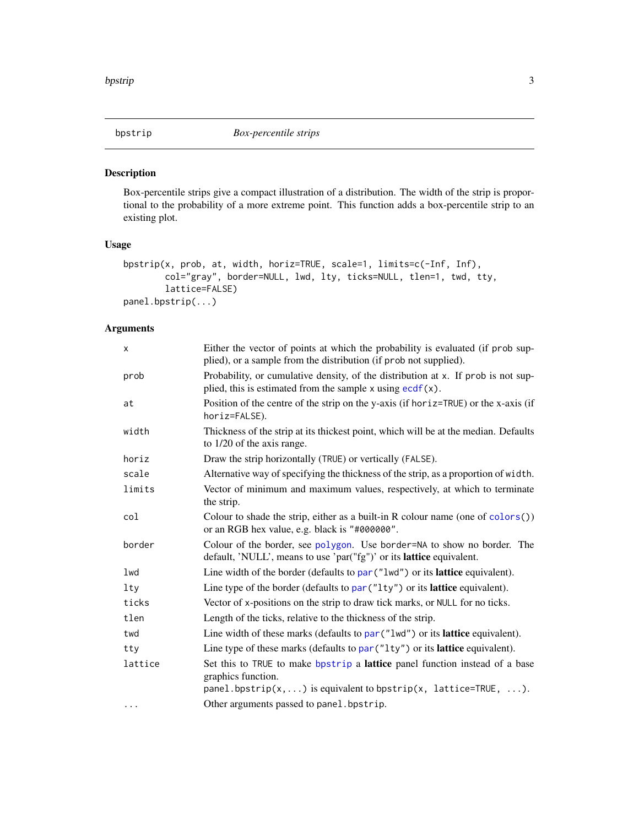<span id="page-2-1"></span><span id="page-2-0"></span>

Box-percentile strips give a compact illustration of a distribution. The width of the strip is proportional to the probability of a more extreme point. This function adds a box-percentile strip to an existing plot.

### Usage

```
bpstrip(x, prob, at, width, horiz=TRUE, scale=1, limits=c(-Inf, Inf),
        col="gray", border=NULL, lwd, lty, ticks=NULL, tlen=1, twd, tty,
        lattice=FALSE)
panel.bpstrip(...)
```

| X        | Either the vector of points at which the probability is evaluated (if prob sup-<br>plied), or a sample from the distribution (if prob not supplied).                 |
|----------|----------------------------------------------------------------------------------------------------------------------------------------------------------------------|
| prob     | Probability, or cumulative density, of the distribution at x. If prob is not sup-<br>plied, this is estimated from the sample $x$ using $\frac{ecdf(x)}{dx}$ .       |
| at       | Position of the centre of the strip on the y-axis (if horiz=TRUE) or the x-axis (if<br>horiz=FALSE).                                                                 |
| width    | Thickness of the strip at its thickest point, which will be at the median. Defaults<br>to 1/20 of the axis range.                                                    |
| horiz    | Draw the strip horizontally (TRUE) or vertically (FALSE).                                                                                                            |
| scale    | Alternative way of specifying the thickness of the strip, as a proportion of width.                                                                                  |
| limits   | Vector of minimum and maximum values, respectively, at which to terminate<br>the strip.                                                                              |
| col      | Colour to shade the strip, either as a built-in R colour name (one of colors())<br>or an RGB hex value, e.g. black is "#000000".                                     |
| border   | Colour of the border, see polygon. Use border=NA to show no border. The<br>default, 'NULL', means to use 'par("fg")' or its lattice equivalent.                      |
| lwd      | Line width of the border (defaults to par ("lwd") or its lattice equivalent).                                                                                        |
| $1$ ty   | Line type of the border (defaults to $par("lty")$ or its <b>lattice</b> equivalent).                                                                                 |
| ticks    | Vector of x-positions on the strip to draw tick marks, or NULL for no ticks.                                                                                         |
| tlen     | Length of the ticks, relative to the thickness of the strip.                                                                                                         |
| twd      | Line width of these marks (defaults to $par("lwd")$ or its <b>lattice</b> equivalent).                                                                               |
| tty      | Line type of these marks (defaults to par ("1ty") or its lattice equivalent).                                                                                        |
| lattice  | Set this to TRUE to make bpstrip a lattice panel function instead of a base<br>graphics function.<br>panel.bpstrip(x, ) is equivalent to bpstrip(x, lattice=TRUE, ). |
| $\cdots$ | Other arguments passed to panel. bpstrip.                                                                                                                            |
|          |                                                                                                                                                                      |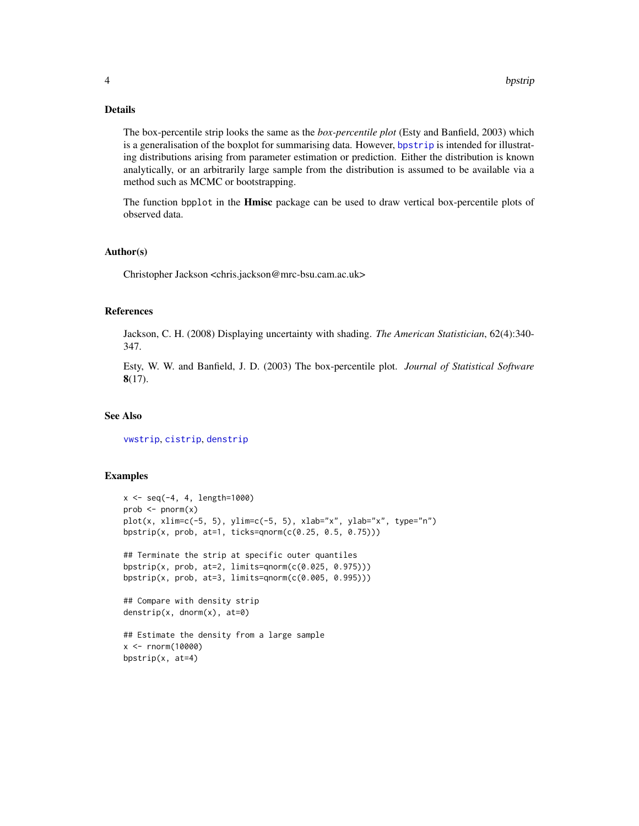### <span id="page-3-0"></span>Details

The box-percentile strip looks the same as the *box-percentile plot* (Esty and Banfield, 2003) which is a generalisation of the boxplot for summarising data. However, [bpstrip](#page-2-1) is intended for illustrating distributions arising from parameter estimation or prediction. Either the distribution is known analytically, or an arbitrarily large sample from the distribution is assumed to be available via a method such as MCMC or bootstrapping.

The function bpplot in the **Hmisc** package can be used to draw vertical box-percentile plots of observed data.

### Author(s)

Christopher Jackson <chris.jackson@mrc-bsu.cam.ac.uk>

#### References

Jackson, C. H. (2008) Displaying uncertainty with shading. *The American Statistician*, 62(4):340- 347.

Esty, W. W. and Banfield, J. D. (2003) The box-percentile plot. *Journal of Statistical Software* 8(17).

#### See Also

[vwstrip](#page-20-1), [cistrip](#page-4-1), [denstrip](#page-10-1)

```
x \le - seq(-4, 4, length=1000)
prob \leftarrow pnorm(x)plot(x, xlim=c(-5, 5), ylim=c(-5, 5), xlab="x", ylab="x", type="n")
bpstrip(x, prob, at=1, ticks=qnorm(c(0.25, 0.5, 0.75)))
## Terminate the strip at specific outer quantiles
bpstrip(x, prob, at=2, limits=qnorm(c(0.025, 0.975)))
bpstrip(x, prob, at=3, limits=qnorm(c(0.005, 0.995)))
## Compare with density strip
denstrip(x, dnorm(x), at=0)
## Estimate the density from a large sample
x <- rnorm(10000)
bpstrip(x, at=4)
```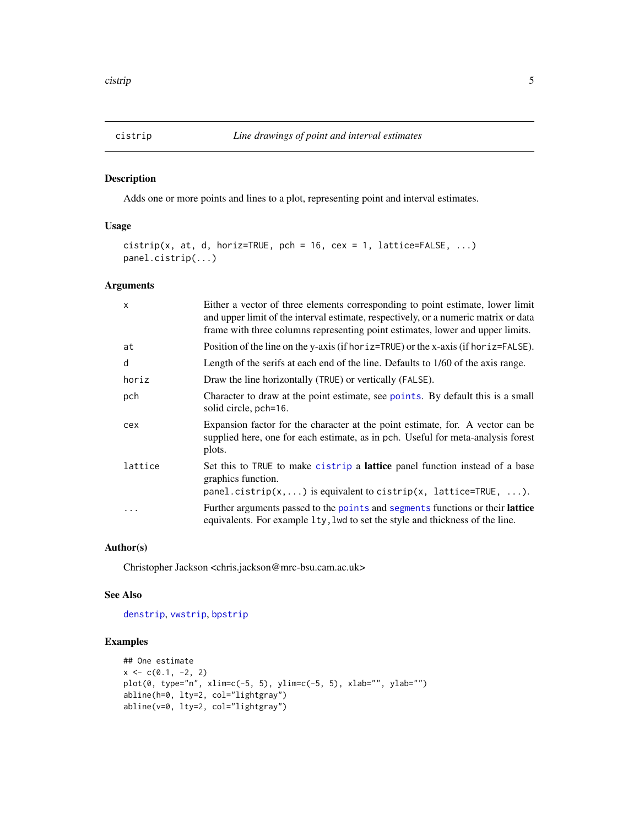<span id="page-4-1"></span><span id="page-4-0"></span>

Adds one or more points and lines to a plot, representing point and interval estimates.

### Usage

```
cistrip(x, at, d, horiz=TRUE, pch = 16, cex = 1, lattice=FALSE, \ldots)
panel.cistrip(...)
```
### Arguments

| $\times$ | Either a vector of three elements corresponding to point estimate, lower limit<br>and upper limit of the interval estimate, respectively, or a numeric matrix or data<br>frame with three columns representing point estimates, lower and upper limits. |
|----------|---------------------------------------------------------------------------------------------------------------------------------------------------------------------------------------------------------------------------------------------------------|
| at       | Position of the line on the y-axis (if horiz=TRUE) or the x-axis (if horiz=FALSE).                                                                                                                                                                      |
| d        | Length of the serifs at each end of the line. Defaults to 1/60 of the axis range.                                                                                                                                                                       |
| horiz    | Draw the line horizontally (TRUE) or vertically (FALSE).                                                                                                                                                                                                |
| pch      | Character to draw at the point estimate, see points. By default this is a small<br>solid circle, pch=16.                                                                                                                                                |
| cex      | Expansion factor for the character at the point estimate, for. A vector can be<br>supplied here, one for each estimate, as in pch. Useful for meta-analysis forest<br>plots.                                                                            |
| lattice  | Set this to TRUE to make cistrip a lattice panel function instead of a base<br>graphics function.<br>panel.cistrip(x,) is equivalent to cistrip(x, lattice=TRUE, ).                                                                                     |
| .        | Further arguments passed to the points and segments functions or their lattice<br>equivalents. For example 1ty, 1wd to set the style and thickness of the line.                                                                                         |

### Author(s)

Christopher Jackson <chris.jackson@mrc-bsu.cam.ac.uk>

#### See Also

[denstrip](#page-10-1), [vwstrip](#page-20-1), [bpstrip](#page-2-1)

```
## One estimate
x \leftarrow c(0.1, -2, 2)plot(0, type="n", xlim=c(-5, 5), ylim=c(-5, 5), xlab="", ylab="")
abline(h=0, lty=2, col="lightgray")
abline(v=0, lty=2, col="lightgray")
```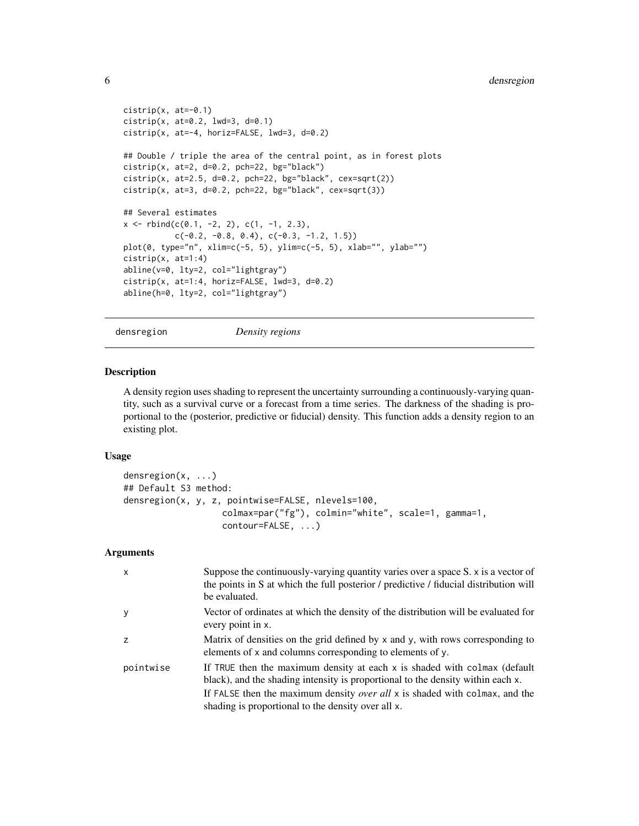### <span id="page-5-0"></span>6 densregion

```
cistrib(x, at=-0.1)cistrib(x, at=0.2, 1wd=3, d=0.1)cistrip(x, at=-4, horiz=FALSE, lwd=3, d=0.2)
## Double / triple the area of the central point, as in forest plots
cistrip(x, at=2, d=0.2, pch=22, bg="black")
cistrib(x, at=2.5, d=0.2, pch=22, bg="black", cex=sqrt(2))cistrib(x, at=3, d=0.2, pch=22, bg="black", cex=sqrt(3))## Several estimates
x \leftarrow \text{rbind}(c(0.1, -2, 2), c(1, -1, 2.3),c(-0.2, -0.8, 0.4), c(-0.3, -1.2, 1.5))plot(0, type="n", xlim=c(-5, 5), ylim=c(-5, 5), xlab="", ylab="")
cistrib(x, at=1:4)abline(v=0, lty=2, col="lightgray")
cistrip(x, at=1:4, horiz=FALSE, lwd=3, d=0.2)
abline(h=0, lty=2, col="lightgray")
```
<span id="page-5-1"></span>densregion *Density regions*

### <span id="page-5-2"></span>Description

A density region uses shading to represent the uncertainty surrounding a continuously-varying quantity, such as a survival curve or a forecast from a time series. The darkness of the shading is proportional to the (posterior, predictive or fiducial) density. This function adds a density region to an existing plot.

#### Usage

```
densregion(x, ...)
## Default S3 method:
densregion(x, y, z, pointwise=FALSE, nlevels=100,
                   colmax=par("fg"), colmin="white", scale=1, gamma=1,
                   contour=FALSE, ...)
```

| $\mathsf{x}$   | Suppose the continuously-varying quantity varies over a space S. x is a vector of<br>the points in S at which the full posterior / predictive / fiducial distribution will<br>be evaluated.                                                                                                         |
|----------------|-----------------------------------------------------------------------------------------------------------------------------------------------------------------------------------------------------------------------------------------------------------------------------------------------------|
| y              | Vector of ordinates at which the density of the distribution will be evaluated for<br>every point in x.                                                                                                                                                                                             |
| $\overline{z}$ | Matrix of densities on the grid defined by x and y, with rows corresponding to<br>elements of x and columns corresponding to elements of y.                                                                                                                                                         |
| pointwise      | If TRUE then the maximum density at each x is shaded with colmax (default<br>black), and the shading intensity is proportional to the density within each x.<br>If FALSE then the maximum density over all $x$ is shaded with colmax, and the<br>shading is proportional to the density over all x. |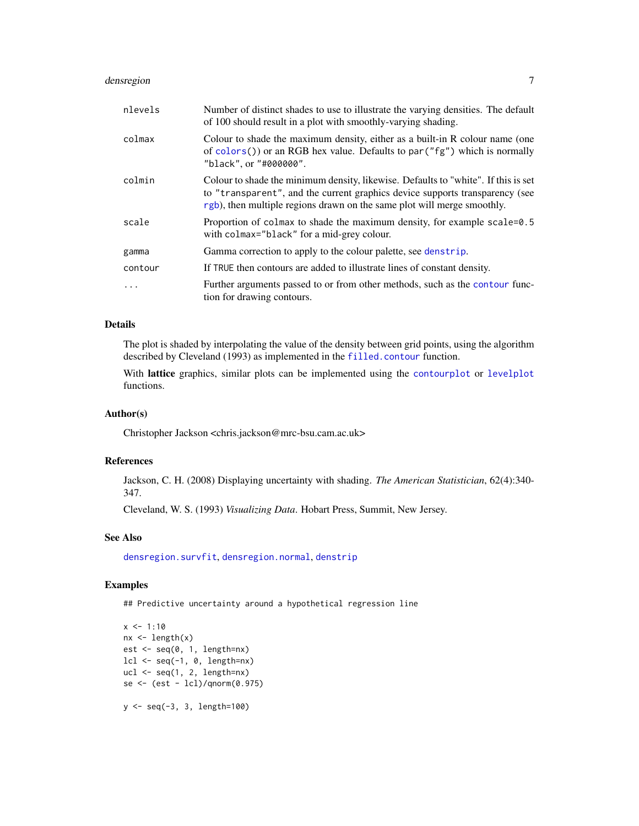### <span id="page-6-0"></span>densregion 7

| nlevels  | Number of distinct shades to use to illustrate the varying densities. The default<br>of 100 should result in a plot with smoothly-varying shading.                                                                                            |
|----------|-----------------------------------------------------------------------------------------------------------------------------------------------------------------------------------------------------------------------------------------------|
| colmax   | Colour to shade the maximum density, either as a built-in R colour name (one<br>of colors()) or an RGB hex value. Defaults to par( $\degree$ fg") which is normally<br>"black", or "#000000".                                                 |
| colmin   | Colour to shade the minimum density, likewise. Defaults to "white". If this is set<br>to "transparent", and the current graphics device supports transparency (see<br>rgb), then multiple regions drawn on the same plot will merge smoothly. |
| scale    | Proportion of colmax to shade the maximum density, for example scale=0.5<br>with colmax="black" for a mid-grey colour.                                                                                                                        |
| gamma    | Gamma correction to apply to the colour palette, see denstrip.                                                                                                                                                                                |
| contour  | If TRUE then contours are added to illustrate lines of constant density.                                                                                                                                                                      |
| $\cdots$ | Further arguments passed to or from other methods, such as the contour func-<br>tion for drawing contours.                                                                                                                                    |

#### Details

The plot is shaded by interpolating the value of the density between grid points, using the algorithm described by Cleveland (1993) as implemented in the [filled.contour](#page-0-0) function.

With lattice graphics, similar plots can be implemented using the [contourplot](#page-0-0) or [levelplot](#page-0-0) functions.

### Author(s)

Christopher Jackson <chris.jackson@mrc-bsu.cam.ac.uk>

#### References

Jackson, C. H. (2008) Displaying uncertainty with shading. *The American Statistician*, 62(4):340- 347.

Cleveland, W. S. (1993) *Visualizing Data*. Hobart Press, Summit, New Jersey.

#### See Also

[densregion.survfit](#page-9-1), [densregion.normal](#page-7-1), [denstrip](#page-10-1)

### Examples

## Predictive uncertainty around a hypothetical regression line

```
x \le -1:10nx \leftarrow length(x)est \leq seq(0, 1, length=nx)
lcl \leftarrow seq(-1, 0, length=nx)ucl \leftarrow seq(1, 2, length=nx)se <- (est - lcl)/qnorm(0.975)
```
y <- seq(-3, 3, length=100)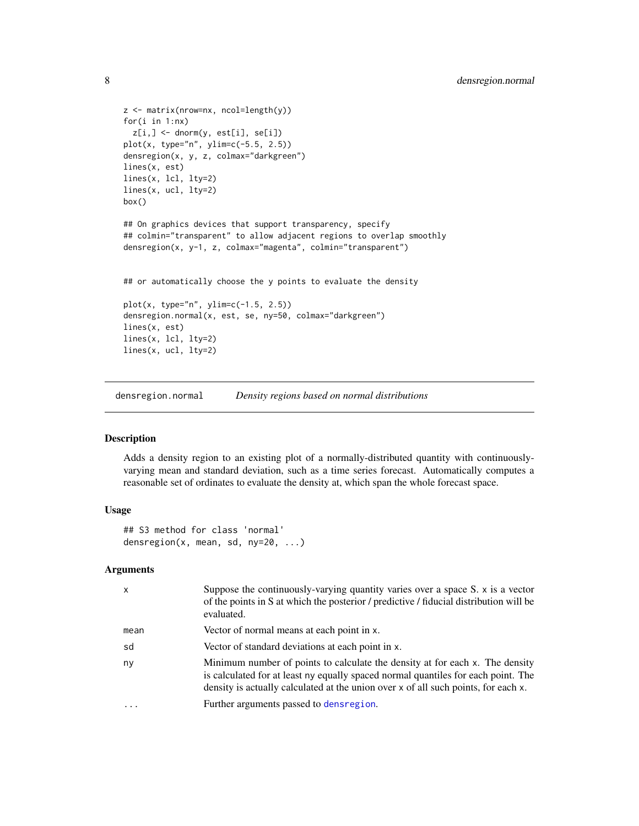```
z <- matrix(nrow=nx, ncol=length(y))
for(i in 1:nx)
  z[i, ] \leftarrow dnorm(y, est[i], sel[i])plot(x, type="n", ylim=c(-5.5, 2.5))
densregion(x, y, z, colmax="darkgreen")
lines(x, est)
lines(x, lcl, lty=2)
lines(x, ucl, lty=2)
box()
## On graphics devices that support transparency, specify
## colmin="transparent" to allow adjacent regions to overlap smoothly
densregion(x, y-1, z, colmax="magenta", colmin="transparent")
## or automatically choose the y points to evaluate the density
plot(x, type="n", ylim=c(-1.5, 2.5))
densregion.normal(x, est, se, ny=50, colmax="darkgreen")
lines(x, est)
lines(x, lcl, lty=2)
lines(x, ucl, lty=2)
```
<span id="page-7-1"></span>densregion.normal *Density regions based on normal distributions*

### Description

Adds a density region to an existing plot of a normally-distributed quantity with continuouslyvarying mean and standard deviation, such as a time series forecast. Automatically computes a reasonable set of ordinates to evaluate the density at, which span the whole forecast space.

### Usage

## S3 method for class 'normal' densregion(x, mean, sd, ny=20, ...)

| $\mathsf{x}$ | Suppose the continuously-varying quantity varies over a space $S$ . $x$ is a vector<br>of the points in S at which the posterior / predictive / fiducial distribution will be<br>evaluated.                                                             |
|--------------|---------------------------------------------------------------------------------------------------------------------------------------------------------------------------------------------------------------------------------------------------------|
| mean         | Vector of normal means at each point in x.                                                                                                                                                                                                              |
| sd           | Vector of standard deviations at each point in x.                                                                                                                                                                                                       |
| ny           | Minimum number of points to calculate the density at for each x. The density<br>is calculated for at least ny equally spaced normal quantiles for each point. The<br>density is actually calculated at the union over x of all such points, for each x. |
| $\ddotsc$    | Further arguments passed to densregion.                                                                                                                                                                                                                 |

<span id="page-7-0"></span>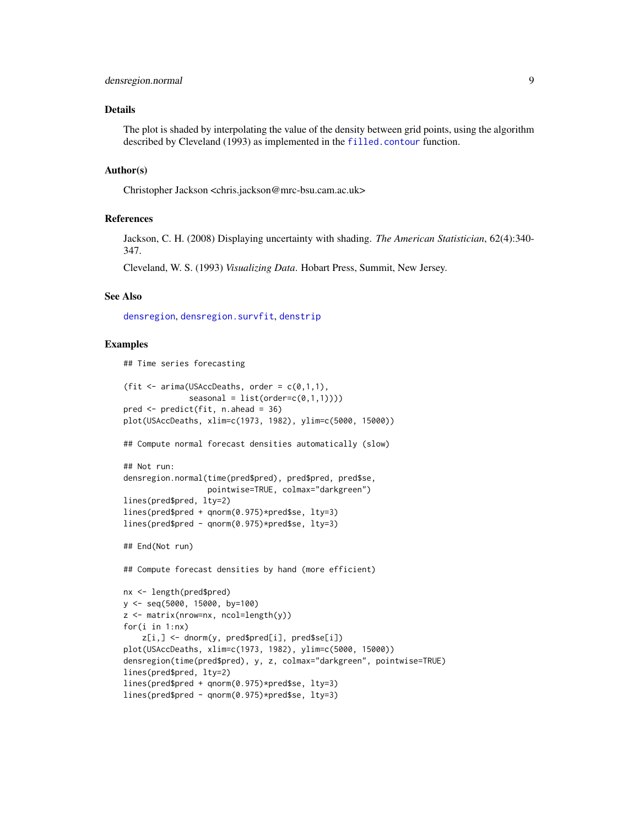### <span id="page-8-0"></span>Details

The plot is shaded by interpolating the value of the density between grid points, using the algorithm described by Cleveland (1993) as implemented in the [filled.contour](#page-0-0) function.

### Author(s)

Christopher Jackson <chris.jackson@mrc-bsu.cam.ac.uk>

#### References

Jackson, C. H. (2008) Displaying uncertainty with shading. *The American Statistician*, 62(4):340- 347.

Cleveland, W. S. (1993) *Visualizing Data*. Hobart Press, Summit, New Jersey.

### See Also

[densregion](#page-5-1), [densregion.survfit](#page-9-1), [denstrip](#page-10-1)

#### Examples

## Time series forecasting

```
(fit \leq arima(USAccDeaths, order = c(0,1,1),
             seasonal = list(order=c(0,1,1))))pred <- predict(fit, n.ahead = 36)
plot(USAccDeaths, xlim=c(1973, 1982), ylim=c(5000, 15000))
## Compute normal forecast densities automatically (slow)
## Not run:
densregion.normal(time(pred$pred), pred$pred, pred$se,
                  pointwise=TRUE, colmax="darkgreen")
lines(pred$pred, lty=2)
lines(pred$pred + qnorm(0.975)*pred$se, lty=3)
lines(pred$pred - qnorm(0.975)*pred$se, lty=3)
## End(Not run)
## Compute forecast densities by hand (more efficient)
nx <- length(pred$pred)
y <- seq(5000, 15000, by=100)
z <- matrix(nrow=nx, ncol=length(y))
for(i in 1:nx)
    z[i,] <- dnorm(y, pred$pred[i], pred$se[i])
plot(USAccDeaths, xlim=c(1973, 1982), ylim=c(5000, 15000))
densregion(time(pred$pred), y, z, colmax="darkgreen", pointwise=TRUE)
lines(pred$pred, lty=2)
lines(pred$pred + qnorm(0.975)*pred$se, lty=3)
lines(pred$pred - qnorm(0.975)*pred$se, lty=3)
```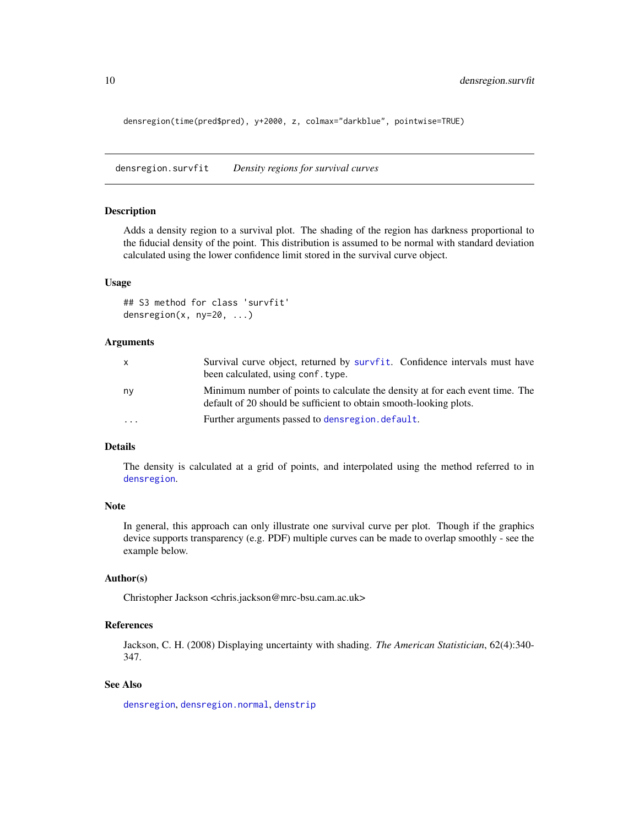<span id="page-9-0"></span>densregion(time(pred\$pred), y+2000, z, colmax="darkblue", pointwise=TRUE)

<span id="page-9-1"></span>densregion.survfit *Density regions for survival curves*

#### Description

Adds a density region to a survival plot. The shading of the region has darkness proportional to the fiducial density of the point. This distribution is assumed to be normal with standard deviation calculated using the lower confidence limit stored in the survival curve object.

#### Usage

```
## S3 method for class 'survfit'
densregion(x, ny=20, ...)
```
#### Arguments

| X       | Survival curve object, returned by survfit. Confidence intervals must have<br>been calculated, using conf. type.                                    |
|---------|-----------------------------------------------------------------------------------------------------------------------------------------------------|
| ny      | Minimum number of points to calculate the density at for each event time. The<br>default of 20 should be sufficient to obtain smooth-looking plots. |
| $\cdot$ | Further arguments passed to dens region. default.                                                                                                   |

### Details

The density is calculated at a grid of points, and interpolated using the method referred to in [densregion](#page-5-1).

#### Note

In general, this approach can only illustrate one survival curve per plot. Though if the graphics device supports transparency (e.g. PDF) multiple curves can be made to overlap smoothly - see the example below.

### Author(s)

Christopher Jackson <chris.jackson@mrc-bsu.cam.ac.uk>

### References

Jackson, C. H. (2008) Displaying uncertainty with shading. *The American Statistician*, 62(4):340- 347.

### See Also

[densregion](#page-5-1), [densregion.normal](#page-7-1), [denstrip](#page-10-1)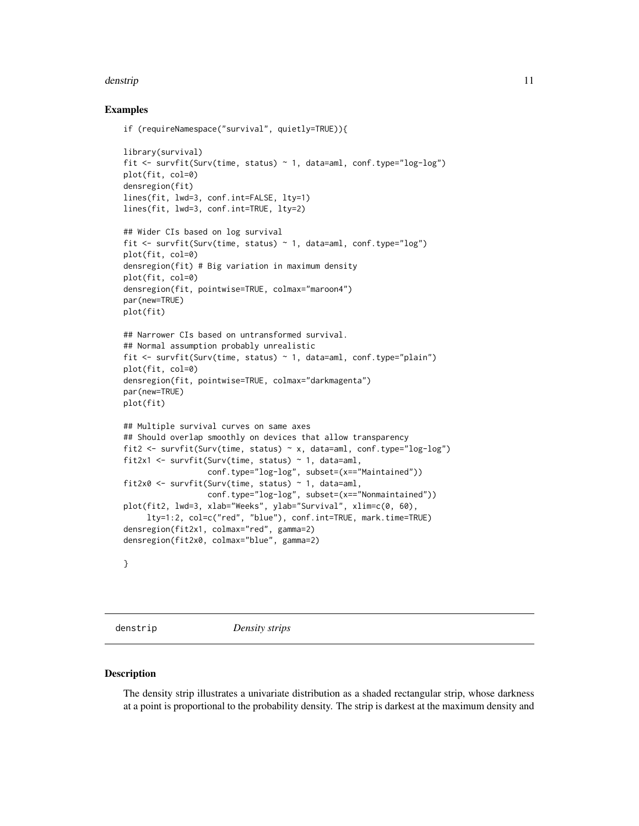#### <span id="page-10-0"></span>denstrip the state of the state of the state of the state of the state of the state of the state of the state of the state of the state of the state of the state of the state of the state of the state of the state of the s

### Examples

```
if (requireNamespace("survival", quietly=TRUE)){
library(survival)
fit <- survfit(Surv(time, status) ~ 1, data=aml, conf.type="log-log")
plot(fit, col=0)
densregion(fit)
lines(fit, lwd=3, conf.int=FALSE, lty=1)
lines(fit, lwd=3, conf.int=TRUE, lty=2)
## Wider CIs based on log survival
fit <- survfit(Surv(time, status) ~ 1, data=aml, conf.type="log")
plot(fit, col=0)
densregion(fit) # Big variation in maximum density
plot(fit, col=0)
densregion(fit, pointwise=TRUE, colmax="maroon4")
par(new=TRUE)
plot(fit)
## Narrower CIs based on untransformed survival.
## Normal assumption probably unrealistic
fit <- survfit(Surv(time, status) ~ 1, data=aml, conf.type="plain")
plot(fit, col=0)
densregion(fit, pointwise=TRUE, colmax="darkmagenta")
par(new=TRUE)
plot(fit)
## Multiple survival curves on same axes
## Should overlap smoothly on devices that allow transparency
fit2 <- survfit(Surv(time, status) \sim x, data=aml, conf.type="log-log")
fit2x1 <- survfit(Surv(time, status) ~ 1, data=aml,
                  conf.type="log-log", subset=(x=="Maintained"))
fit2x0 <- survfit(Surv(time, status) \sim 1, data=aml,
                  conf.type="log-log", subset=(x=="Nonmaintained"))
plot(fit2, lwd=3, xlab="Weeks", ylab="Survival", xlim=c(0, 60),
     lty=1:2, col=c("red", "blue"), conf.int=TRUE, mark.time=TRUE)
densregion(fit2x1, colmax="red", gamma=2)
densregion(fit2x0, colmax="blue", gamma=2)
}
```
<span id="page-10-1"></span>

denstrip *Density strips*

#### **Description**

The density strip illustrates a univariate distribution as a shaded rectangular strip, whose darkness at a point is proportional to the probability density. The strip is darkest at the maximum density and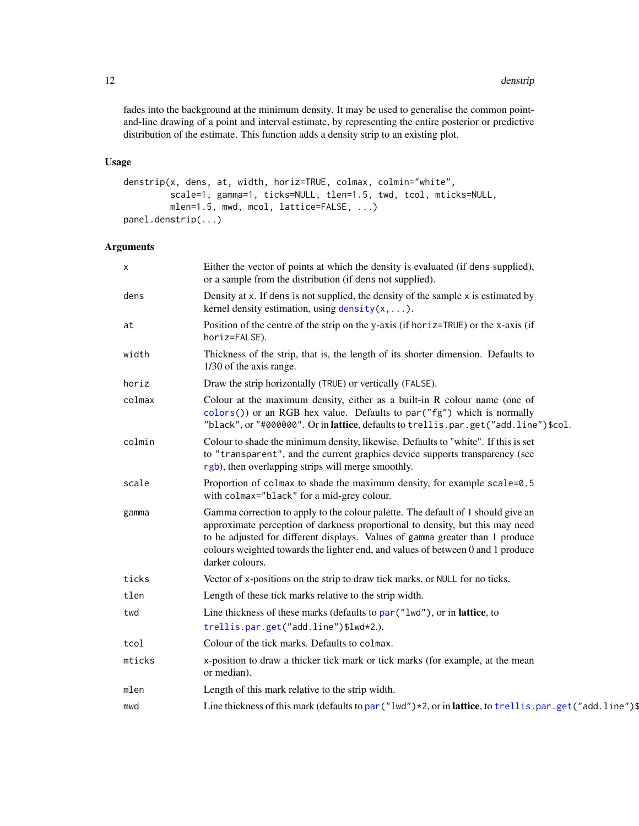<span id="page-11-0"></span>fades into the background at the minimum density. It may be used to generalise the common pointand-line drawing of a point and interval estimate, by representing the entire posterior or predictive distribution of the estimate. This function adds a density strip to an existing plot.

### Usage

```
denstrip(x, dens, at, width, horiz=TRUE, colmax, colmin="white",
         scale=1, gamma=1, ticks=NULL, tlen=1.5, twd, tcol, mticks=NULL,
        mlen=1.5, mwd, mcol, lattice=FALSE, ...)
panel.denstrip(...)
```

| X      | Either the vector of points at which the density is evaluated (if dens supplied),<br>or a sample from the distribution (if dens not supplied).                                                                                                                                                                                                           |
|--------|----------------------------------------------------------------------------------------------------------------------------------------------------------------------------------------------------------------------------------------------------------------------------------------------------------------------------------------------------------|
| dens   | Density at x. If dens is not supplied, the density of the sample x is estimated by<br>kernel density estimation, using $density(x, \ldots)$ .                                                                                                                                                                                                            |
| at     | Position of the centre of the strip on the y-axis (if horiz=TRUE) or the x-axis (if<br>horiz=FALSE).                                                                                                                                                                                                                                                     |
| width  | Thickness of the strip, that is, the length of its shorter dimension. Defaults to<br>1/30 of the axis range.                                                                                                                                                                                                                                             |
| horiz  | Draw the strip horizontally (TRUE) or vertically (FALSE).                                                                                                                                                                                                                                                                                                |
| colmax | Colour at the maximum density, either as a built-in R colour name (one of<br>colors()) or an RGB hex value. Defaults to par("fg") which is normally<br>"black", or "#000000". Or in lattice, defaults to trellis.par.get("add.line")\$col.                                                                                                               |
| colmin | Colour to shade the minimum density, likewise. Defaults to "white". If this is set<br>to "transparent", and the current graphics device supports transparency (see<br>rgb), then overlapping strips will merge smoothly.                                                                                                                                 |
| scale  | Proportion of colmax to shade the maximum density, for example scale=0.5<br>with colmax="black" for a mid-grey colour.                                                                                                                                                                                                                                   |
| gamma  | Gamma correction to apply to the colour palette. The default of 1 should give an<br>approximate perception of darkness proportional to density, but this may need<br>to be adjusted for different displays. Values of gamma greater than 1 produce<br>colours weighted towards the lighter end, and values of between 0 and 1 produce<br>darker colours. |
| ticks  | Vector of x-positions on the strip to draw tick marks, or NULL for no ticks.                                                                                                                                                                                                                                                                             |
| tlen   | Length of these tick marks relative to the strip width.                                                                                                                                                                                                                                                                                                  |
| twd    | Line thickness of these marks (defaults to par ("lwd"), or in lattice, to                                                                                                                                                                                                                                                                                |
|        | trellis.par.get("add.line")\$lwd*2.).                                                                                                                                                                                                                                                                                                                    |
| tcol   | Colour of the tick marks. Defaults to colmax.                                                                                                                                                                                                                                                                                                            |
| mticks | x-position to draw a thicker tick mark or tick marks (for example, at the mean<br>or median).                                                                                                                                                                                                                                                            |
| mlen   | Length of this mark relative to the strip width.                                                                                                                                                                                                                                                                                                         |
| mwd    | Line thickness of this mark (defaults to par $("lwd") * 2$ , or in lattice, to trellis.par.get $("add.line")$ \$                                                                                                                                                                                                                                         |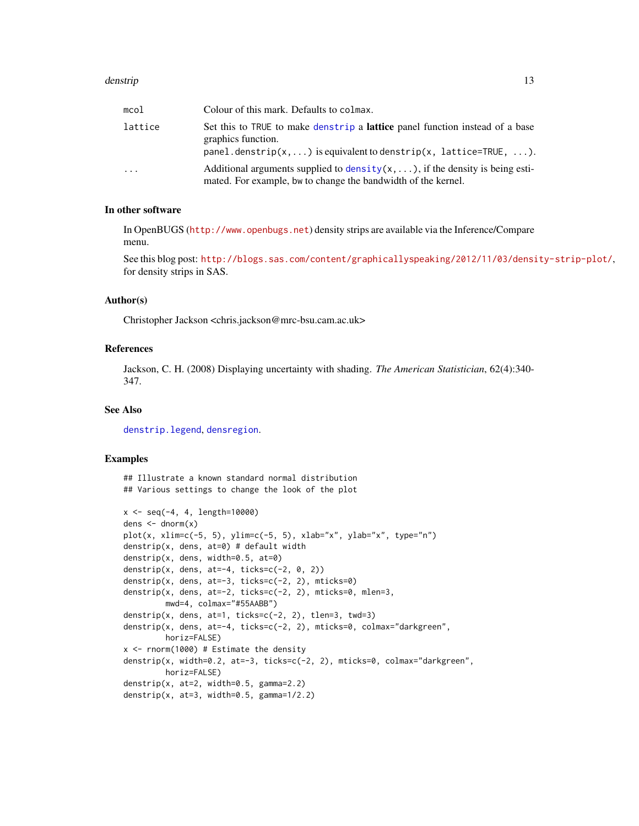#### <span id="page-12-0"></span>denstrip and the contract of the contract of the contract of the contract of the contract of the contract of the contract of the contract of the contract of the contract of the contract of the contract of the contract of t

| mcol     | Colour of this mark. Defaults to colmax.                                                                                                                |
|----------|---------------------------------------------------------------------------------------------------------------------------------------------------------|
| lattice  | Set this to TRUE to make denstrip a <b>lattice</b> panel function instead of a base<br>graphics function.                                               |
|          | $panel.denstrip(x,)$ is equivalent to denstrip(x, lattice=TRUE, ).                                                                                      |
| $\cdots$ | Additional arguments supplied to density $(x, \ldots)$ , if the density is being esti-<br>mated. For example, bw to change the bandwidth of the kernel. |

### In other software

In OpenBUGS (<http://www.openbugs.net>) density strips are available via the Inference/Compare menu.

See this blog post: <http://blogs.sas.com/content/graphicallyspeaking/2012/11/03/density-strip-plot/>, for density strips in SAS.

### Author(s)

Christopher Jackson <chris.jackson@mrc-bsu.cam.ac.uk>

#### References

Jackson, C. H. (2008) Displaying uncertainty with shading. *The American Statistician*, 62(4):340- 347.

### See Also

[denstrip.legend](#page-14-1), [densregion](#page-5-1).

### Examples

## Illustrate a known standard normal distribution ## Various settings to change the look of the plot

```
x <- seq(-4, 4, length=10000)
dens \leq dnorm(x)plot(x, xlim=c(-5, 5), ylim=c(-5, 5), xlab="x", ylab="x", type="n")
denstrip(x, dens, at=0) # default width
denstrip(x, dens, width=0.5, at=0)
denstrip(x, dens, at=-4, ticks=c(-2, 0, 2))
denstrip(x, dens, at=-3, ticks=c(-2, 2), mticks=0)
denstrip(x, dens, at=-2, ticks=c(-2, 2), mticks=0, mlen=3,
        mwd=4, colmax="#55AABB")
denstrip(x, dens, at=1, ticks=c(-2, 2), tlen=3, twd=3)
denstrip(x, dens, at=-4, ticks=c(-2, 2), mticks=0, colmax="darkgreen",
        horiz=FALSE)
x < - rnorm(1000) # Estimate the density
denstrip(x, width=0.2, at=-3, ticks=c(-2, 2), mticks=0, colmax="darkgreen",
        horiz=FALSE)
denstrip(x, at=2, width=0.5, gamma=2.2)
denstrip(x, at=3, width=0.5, gamma=1/2.2)
```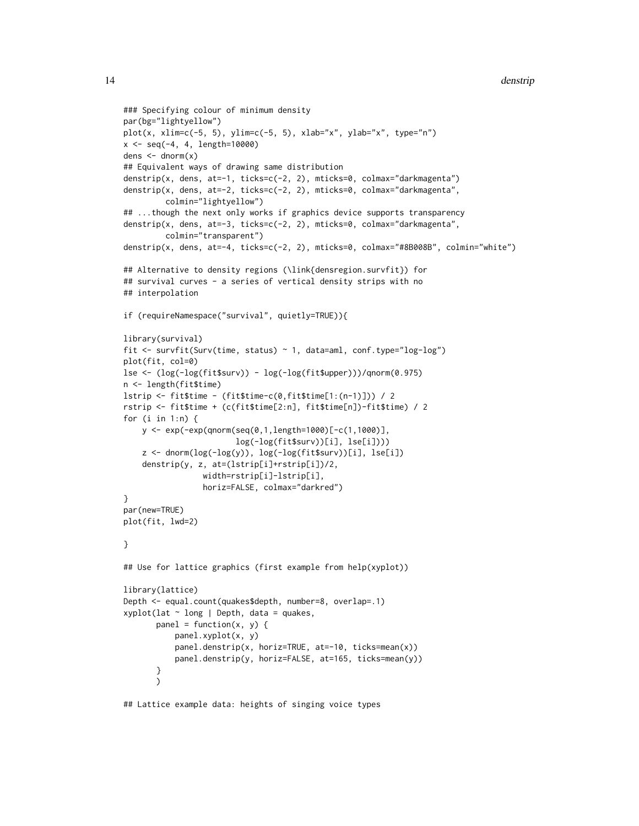```
14 denstrip
```

```
### Specifying colour of minimum density
par(bg="lightyellow")
plot(x, xlim=c(-5, 5), ylim=c(-5, 5), xlabel''x", ylabel''x", type="n")x \le - seq(-4, 4, length=10000)
dens \leftarrow dnorm(x)## Equivalent ways of drawing same distribution
denstrip(x, dens, at=-1, ticks=c(-2, 2), mticks=0, colmax="darkmagenta")
denstrip(x, dens, at=-2, ticks=c(-2, 2), mticks=0, colmax="darkmagenta",
         colmin="lightyellow")
## ...though the next only works if graphics device supports transparency
denstrip(x, dens, at=-3, ticks=c(-2, 2), mticks=0, colmax="darkmagenta",
         colmin="transparent")
denstrip(x, dens, at=-4, ticks=c(-2, 2), mticks=0, colmax="#8B008B", colmin="white")
## Alternative to density regions (\link{densregion.survfit}) for
## survival curves - a series of vertical density strips with no
## interpolation
if (requireNamespace("survival", quietly=TRUE)){
library(survival)
fit <- survfit(Surv(time, status) ~ 1, data=aml, conf.type="log-log")
plot(fit, col=0)
lse <- (log(-log(fit$surv)) - log(-log(fit$upper)))/qnorm(0.975)
n <- length(fit$time)
lstrip <- fit$time - (fit$time-c(0,fit$time[1:(n-1)])) / 2
rstrip <- fit$time + (c(fit$time[2:n], fit$time[n])-fit$time) / 2
for (i in 1:n) {
   y <- exp(-exp(qnorm(seq(0,1,length=1000)[-c(1,1000)],
                        log(-log(fit$surv))[i], lse[i])))
    z <- dnorm(log(-log(y)), log(-log(fit$surv))[i], lse[i])
    denstrip(y, z, at=(lstrip[i]+rstrip[i])/2,
                 width=rstrip[i]-lstrip[i],
                 horiz=FALSE, colmax="darkred")
}
par(new=TRUE)
plot(fit, lwd=2)
}
## Use for lattice graphics (first example from help(xyplot))
library(lattice)
Depth <- equal.count(quakes$depth, number=8, overlap=.1)
xyplot(lat ~ long | Depth, data = quakes,
       panel = function(x, y) { }panel.xyplot(x, y)
           panel.denstrip(x, horiz=TRUE, at=-10, ticks=mean(x))
           panel.denstrip(y, horiz=FALSE, at=165, ticks=mean(y))
       }
       \mathcal{L}
```
## Lattice example data: heights of singing voice types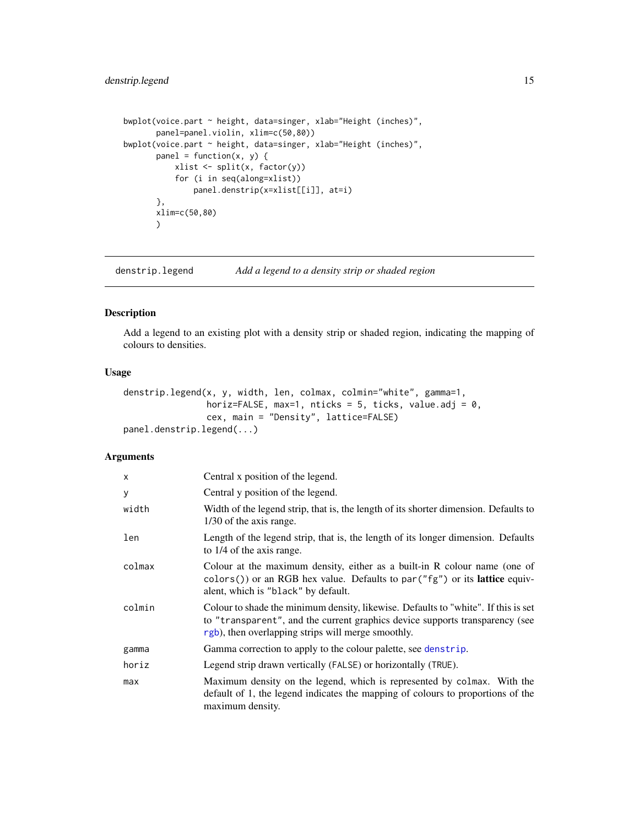### <span id="page-14-0"></span>denstrip.legend 15

```
bwplot(voice.part ~ height, data=singer, xlab="Height (inches)",
      panel=panel.violin, xlim=c(50,80))
bwplot(voice.part ~ height, data=singer, xlab="Height (inches)",
      panel = function(x, y) { }xlist <- split(x, factor(y))
           for (i in seq(along=xlist))
              panel.denstrip(x=xlist[[i]], at=i)
      },
      xlim=c(50,80)
      )
```
<span id="page-14-1"></span>denstrip.legend *Add a legend to a density strip or shaded region*

#### Description

Add a legend to an existing plot with a density strip or shaded region, indicating the mapping of colours to densities.

### Usage

```
denstrip.legend(x, y, width, len, colmax, colmin="white", gamma=1,
               horiz=FALSE, max=1, nticks = 5, ticks, value.adj = 0,
               cex, main = "Density", lattice=FALSE)
panel.denstrip.legend(...)
```

| X      | Central x position of the legend.                                                                                                                                                                                        |
|--------|--------------------------------------------------------------------------------------------------------------------------------------------------------------------------------------------------------------------------|
| y      | Central y position of the legend.                                                                                                                                                                                        |
| width  | Width of the legend strip, that is, the length of its shorter dimension. Defaults to<br>1/30 of the axis range.                                                                                                          |
| len    | Length of the legend strip, that is, the length of its longer dimension. Defaults<br>to 1/4 of the axis range.                                                                                                           |
| colmax | Colour at the maximum density, either as a built-in R colour name (one of<br>$colors()$ or an RGB hex value. Defaults to par $("fg")$ or its lattice equiv-<br>alent, which is "black" by default.                       |
| colmin | Colour to shade the minimum density, likewise. Defaults to "white". If this is set<br>to "transparent", and the current graphics device supports transparency (see<br>rgb), then overlapping strips will merge smoothly. |
| gamma  | Gamma correction to apply to the colour palette, see denstrip.                                                                                                                                                           |
| horiz  | Legend strip drawn vertically (FALSE) or horizontally (TRUE).                                                                                                                                                            |
| max    | Maximum density on the legend, which is represented by colmax. With the<br>default of 1, the legend indicates the mapping of colours to proportions of the<br>maximum density.                                           |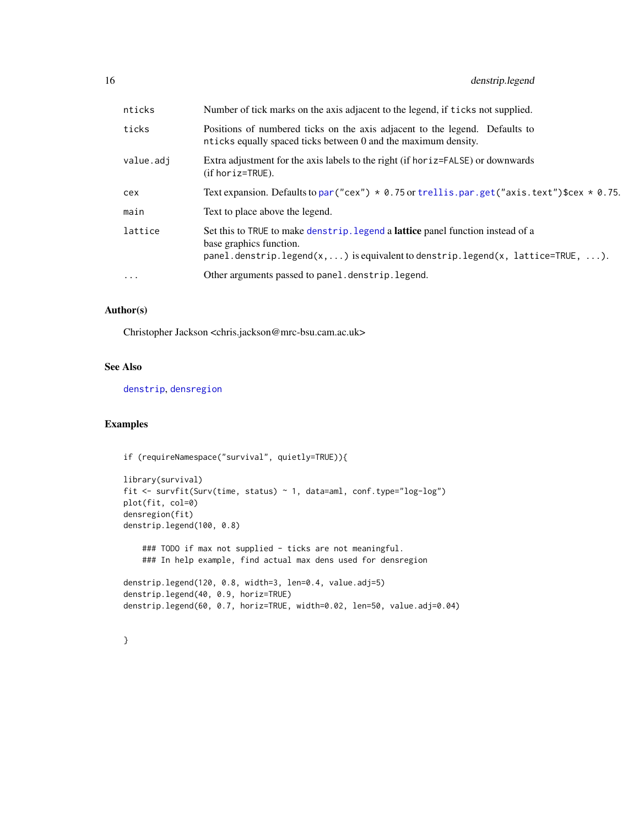<span id="page-15-0"></span>

| nticks     | Number of tick marks on the axis adjacent to the legend, if ticks not supplied.                                                                                                                                                 |
|------------|---------------------------------------------------------------------------------------------------------------------------------------------------------------------------------------------------------------------------------|
| ticks      | Positions of numbered ticks on the axis adjacent to the legend. Defaults to<br>nticks equally spaced ticks between 0 and the maximum density.                                                                                   |
| value.adj  | Extra adjustment for the axis labels to the right (if hor iz=FALSE) or downwards<br>$(if horiz=TRUE)$ .                                                                                                                         |
| cex        | Text expansion. Defaults to par ("cex") $*$ 0.75 or trellis.par.get ("axis.text") \$cex $*$ 0.75.                                                                                                                               |
| main       | Text to place above the legend.                                                                                                                                                                                                 |
| lattice    | Set this to TRUE to make denstrip. Legend a <b>lattice</b> panel function instead of a<br>base graphics function.<br>panel.denstrip.legend $(x, \ldots)$ is equivalent to denstrip.legend $(x, \text{ lattice=TRUE}, \ldots)$ . |
| $\ddots$ . | Other arguments passed to panel.denstrip.legend.                                                                                                                                                                                |
|            |                                                                                                                                                                                                                                 |

### Author(s)

Christopher Jackson <chris.jackson@mrc-bsu.cam.ac.uk>

### See Also

[denstrip](#page-10-1), [densregion](#page-5-1)

### Examples

}

```
if (requireNamespace("survival", quietly=TRUE)){
```

```
library(survival)
fit <- survfit(Surv(time, status) ~ 1, data=aml, conf.type="log-log")
plot(fit, col=0)
densregion(fit)
denstrip.legend(100, 0.8)
```
### TODO if max not supplied - ticks are not meaningful. ### In help example, find actual max dens used for densregion

```
denstrip.legend(120, 0.8, width=3, len=0.4, value.adj=5)
denstrip.legend(40, 0.9, horiz=TRUE)
denstrip.legend(60, 0.7, horiz=TRUE, width=0.02, len=50, value.adj=0.04)
```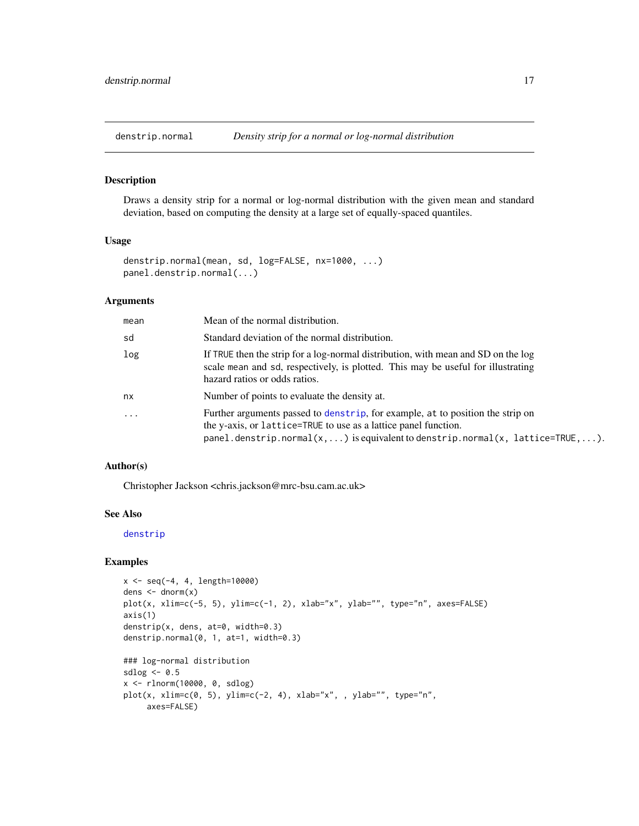<span id="page-16-1"></span><span id="page-16-0"></span>

Draws a density strip for a normal or log-normal distribution with the given mean and standard deviation, based on computing the density at a large set of equally-spaced quantiles.

### Usage

```
denstrip.normal(mean, sd, log=FALSE, nx=1000, ...)
panel.denstrip.normal(...)
```
### Arguments

| mean       | Mean of the normal distribution.                                                                                                                                                                                                                                |
|------------|-----------------------------------------------------------------------------------------------------------------------------------------------------------------------------------------------------------------------------------------------------------------|
| sd         | Standard deviation of the normal distribution.                                                                                                                                                                                                                  |
| log        | If TRUE then the strip for a log-normal distribution, with mean and SD on the log<br>scale mean and sd, respectively, is plotted. This may be useful for illustrating<br>hazard ratios or odds ratios.                                                          |
| nx         | Number of points to evaluate the density at.                                                                                                                                                                                                                    |
| $\ddots$ . | Further arguments passed to denstrip, for example, at to position the strip on<br>the y-axis, or lattice=TRUE to use as a lattice panel function.<br>panel.denstrip.normal $(x, \ldots)$ is equivalent to denstrip.normal $(x, \text{ lattice=TRUE}, \ldots)$ . |

### Author(s)

Christopher Jackson <chris.jackson@mrc-bsu.cam.ac.uk>

### See Also

[denstrip](#page-10-1)

```
x \le - seq(-4, 4, length=10000)
dens \leq dnorm(x)plot(x, xlim=c(-5, 5), ylim=c(-1, 2), xlab="x", ylab="", type="n", axes=FALSE)
axis(1)
denstrip(x, dens, at=0, width=0.3)
denstrip.normal(0, 1, at=1, width=0.3)
### log-normal distribution
sdlog <-0.5x <- rlnorm(10000, 0, sdlog)
plot(x, xlim=c(0, 5), ylim=c(-2, 4), xlab="x", , ylab="", type="n",
     axes=FALSE)
```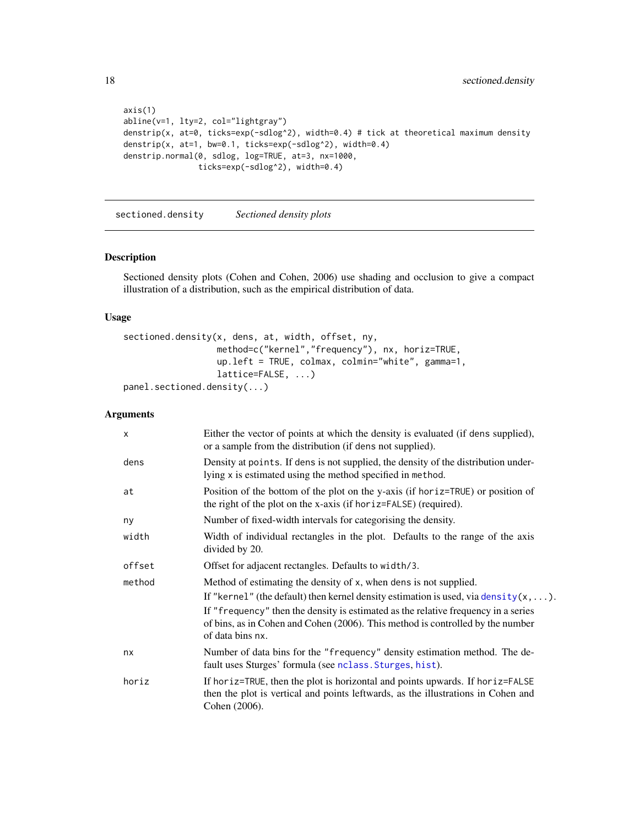```
axis(1)
abline(v=1, lty=2, col="lightgray")
denstrip(x, at=0, ticks=exp(-sdlog^2), width=0.4) # tick at theoretical maximum density
denstrip(x, at=1, bw=0.1, ticks=exp(-sdlog^2), width=0.4)
denstrip.normal(0, sdlog, log=TRUE, at=3, nx=1000,
                ticks=exp(-sdlog^2), width=0.4)
```
<span id="page-17-1"></span>sectioned.density *Sectioned density plots*

### Description

Sectioned density plots (Cohen and Cohen, 2006) use shading and occlusion to give a compact illustration of a distribution, such as the empirical distribution of data.

### Usage

```
sectioned.density(x, dens, at, width, offset, ny,
                  method=c("kernel","frequency"), nx, horiz=TRUE,
                  up.left = TRUE, colmax, colmin="white", gamma=1,
                  lattice=FALSE, ...)
panel.sectioned.density(...)
```

| $\times$ | Either the vector of points at which the density is evaluated (if dens supplied),<br>or a sample from the distribution (if dens not supplied).                                                                                                                                                                                                                 |
|----------|----------------------------------------------------------------------------------------------------------------------------------------------------------------------------------------------------------------------------------------------------------------------------------------------------------------------------------------------------------------|
| dens     | Density at points. If dens is not supplied, the density of the distribution under-<br>lying x is estimated using the method specified in method.                                                                                                                                                                                                               |
| at       | Position of the bottom of the plot on the y-axis (if horiz=TRUE) or position of<br>the right of the plot on the x-axis (if horiz=FALSE) (required).                                                                                                                                                                                                            |
| ny       | Number of fixed-width intervals for categorising the density.                                                                                                                                                                                                                                                                                                  |
| width    | Width of individual rectangles in the plot. Defaults to the range of the axis<br>divided by 20.                                                                                                                                                                                                                                                                |
| offset   | Offset for adjacent rectangles. Defaults to width/3.                                                                                                                                                                                                                                                                                                           |
| method   | Method of estimating the density of x, when dens is not supplied.<br>If "kernel" (the default) then kernel density estimation is used, via density $(x, \ldots)$ .<br>If "frequency" then the density is estimated as the relative frequency in a series<br>of bins, as in Cohen and Cohen (2006). This method is controlled by the number<br>of data bins nx. |
| nx       | Number of data bins for the "frequency" density estimation method. The de-<br>fault uses Sturges' formula (see nclass. Sturges, hist).                                                                                                                                                                                                                         |
| horiz    | If horiz=TRUE, then the plot is horizontal and points upwards. If horiz=FALSE<br>then the plot is vertical and points leftwards, as the illustrations in Cohen and<br>Cohen (2006).                                                                                                                                                                            |

<span id="page-17-0"></span>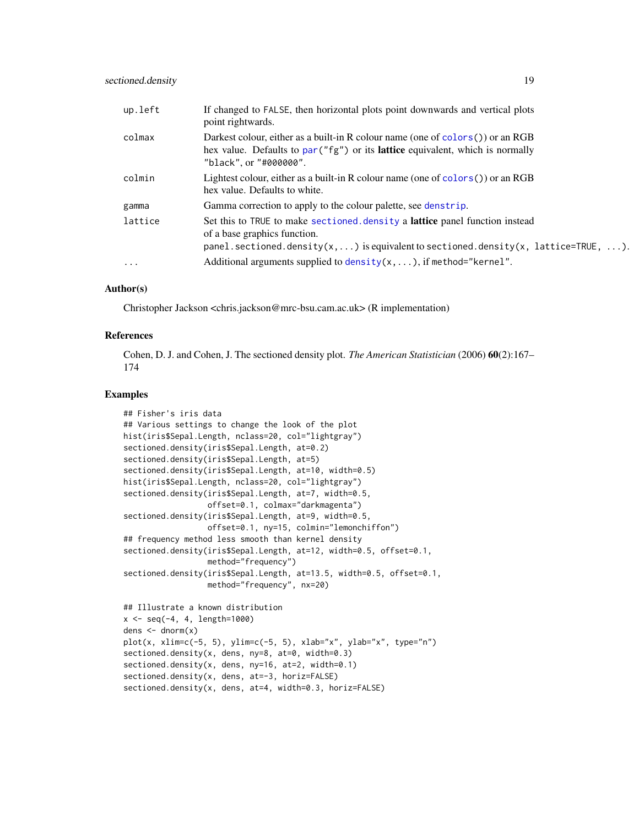<span id="page-18-0"></span>

| up.left  | If changed to FALSE, then horizontal plots point downwards and vertical plots<br>point rightwards.                                                                                                  |
|----------|-----------------------------------------------------------------------------------------------------------------------------------------------------------------------------------------------------|
| colmax   | Darkest colour, either as a built-in R colour name (one of colors()) or an RGB<br>hex value. Defaults to par ("fg") or its lattice equivalent, which is normally<br>"black", or "#000000".          |
| colmin   | Lightest colour, either as a built-in R colour name (one of colors $()$ ) or an RGB<br>hex value. Defaults to white.                                                                                |
| gamma    | Gamma correction to apply to the colour palette, see denstrip.                                                                                                                                      |
| lattice  | Set this to TRUE to make sectioned. density a lattice panel function instead<br>of a base graphics function.<br>panel.sectioned.density(x, ) is equivalent to sectioned.density(x, lattice=TRUE, ). |
| $\cdots$ | Additional arguments supplied to density( $x, \ldots$ ), if method="kernel".                                                                                                                        |

### Author(s)

Christopher Jackson <chris.jackson@mrc-bsu.cam.ac.uk> (R implementation)

#### References

Cohen, D. J. and Cohen, J. The sectioned density plot. *The American Statistician* (2006) 60(2):167– 174

### Examples

```
## Fisher's iris data
## Various settings to change the look of the plot
hist(iris$Sepal.Length, nclass=20, col="lightgray")
sectioned.density(iris$Sepal.Length, at=0.2)
sectioned.density(iris$Sepal.Length, at=5)
sectioned.density(iris$Sepal.Length, at=10, width=0.5)
hist(iris$Sepal.Length, nclass=20, col="lightgray")
sectioned.density(iris$Sepal.Length, at=7, width=0.5,
                  offset=0.1, colmax="darkmagenta")
sectioned.density(iris$Sepal.Length, at=9, width=0.5,
                  offset=0.1, ny=15, colmin="lemonchiffon")
## frequency method less smooth than kernel density
sectioned.density(iris$Sepal.Length, at=12, width=0.5, offset=0.1,
                  method="frequency")
sectioned.density(iris$Sepal.Length, at=13.5, width=0.5, offset=0.1,
                  method="frequency", nx=20)
## Illustrate a known distribution
x \leq -\text{seq}(-4, 4, \text{length}=1000)dens \leftarrow dnorm(x)plot(x, xlim=c(-5, 5), ylim=c(-5, 5), xlab="x", ylab="x", type="n")
sectioned.density(x, dens, ny=8, at=0, width=0.3)
```

```
sectioned.density(x, dens, at=-3, horiz=FALSE)
sectioned.density(x, dens, at=4, width=0.3, horiz=FALSE)
```
sectioned.density(x, dens, ny=16, at=2, width=0.1)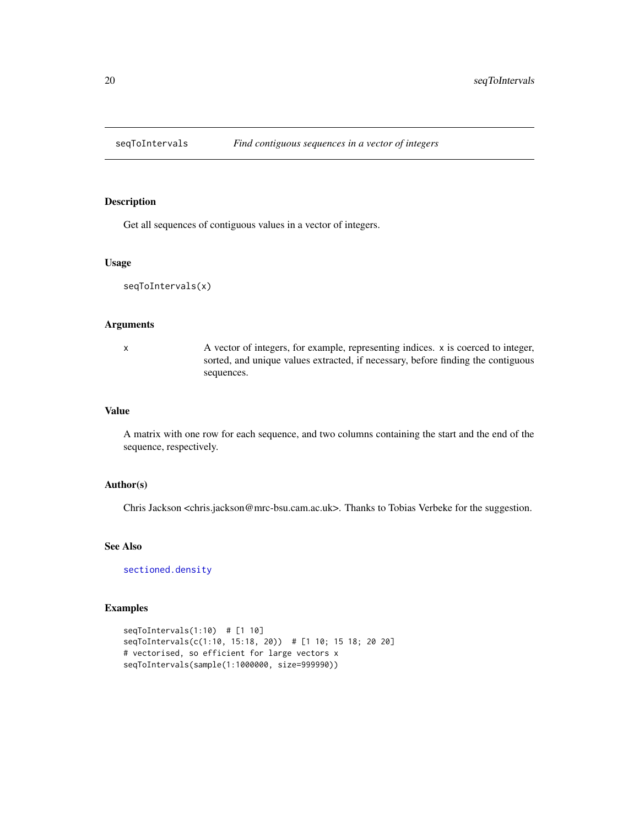<span id="page-19-0"></span>

Get all sequences of contiguous values in a vector of integers.

### Usage

```
seqToIntervals(x)
```
#### Arguments

x A vector of integers, for example, representing indices. x is coerced to integer, sorted, and unique values extracted, if necessary, before finding the contiguous sequences.

### Value

A matrix with one row for each sequence, and two columns containing the start and the end of the sequence, respectively.

#### Author(s)

Chris Jackson <chris.jackson@mrc-bsu.cam.ac.uk>. Thanks to Tobias Verbeke for the suggestion.

### See Also

[sectioned.density](#page-17-1)

```
seqToIntervals(1:10) # [1 10]
seqToIntervals(c(1:10, 15:18, 20)) # [1 10; 15 18; 20 20]
# vectorised, so efficient for large vectors x
seqToIntervals(sample(1:1000000, size=999990))
```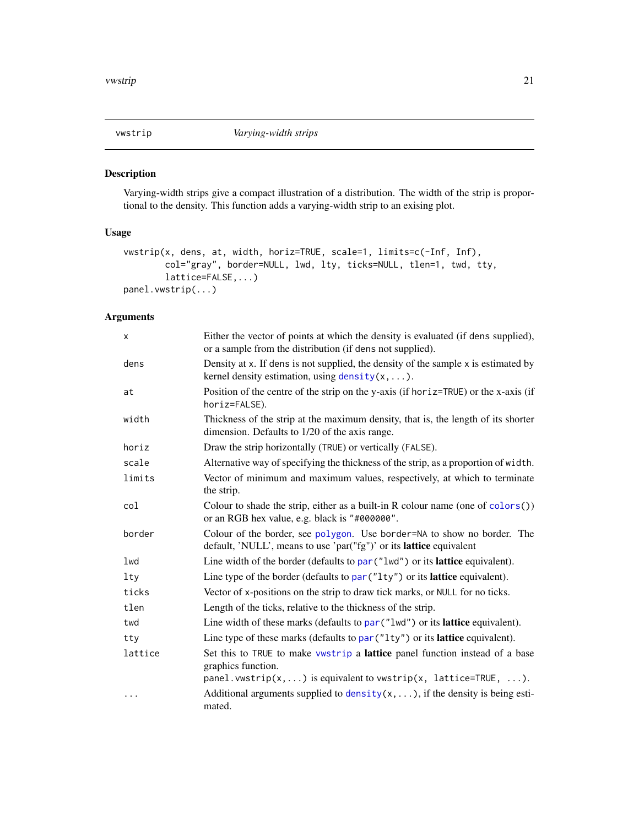<span id="page-20-1"></span><span id="page-20-0"></span>

Varying-width strips give a compact illustration of a distribution. The width of the strip is proportional to the density. This function adds a varying-width strip to an exising plot.

### Usage

```
vwstrip(x, dens, at, width, horiz=TRUE, scale=1, limits=c(-Inf, Inf),
        col="gray", border=NULL, lwd, lty, ticks=NULL, tlen=1, twd, tty,
        lattice=FALSE,...)
panel.vwstrip(...)
```

| X        | Either the vector of points at which the density is evaluated (if dens supplied),<br>or a sample from the distribution (if dens not supplied).                                     |
|----------|------------------------------------------------------------------------------------------------------------------------------------------------------------------------------------|
| dens     | Density at x. If dens is not supplied, the density of the sample x is estimated by<br>kernel density estimation, using $density(x, \ldots)$ .                                      |
| at       | Position of the centre of the strip on the y-axis (if horiz=TRUE) or the x-axis (if<br>horiz=FALSE).                                                                               |
| width    | Thickness of the strip at the maximum density, that is, the length of its shorter<br>dimension. Defaults to 1/20 of the axis range.                                                |
| horiz    | Draw the strip horizontally (TRUE) or vertically (FALSE).                                                                                                                          |
| scale    | Alternative way of specifying the thickness of the strip, as a proportion of width.                                                                                                |
| limits   | Vector of minimum and maximum values, respectively, at which to terminate<br>the strip.                                                                                            |
| col      | Colour to shade the strip, either as a built-in R colour name (one of $color(s))$ )<br>or an RGB hex value, e.g. black is "#000000".                                               |
| border   | Colour of the border, see polygon. Use border=NA to show no border. The<br>default, 'NULL', means to use 'par("fg")' or its <b>lattice</b> equivalent                              |
| lwd      | Line width of the border (defaults to par ("lwd") or its lattice equivalent).                                                                                                      |
| $1$ ty   | Line type of the border (defaults to par ("1ty") or its lattice equivalent).                                                                                                       |
| ticks    | Vector of x-positions on the strip to draw tick marks, or NULL for no ticks.                                                                                                       |
| tlen     | Length of the ticks, relative to the thickness of the strip.                                                                                                                       |
| twd      | Line width of these marks (defaults to par ("lwd") or its lattice equivalent).                                                                                                     |
| tty      | Line type of these marks (defaults to par ("1ty") or its lattice equivalent).                                                                                                      |
| lattice  | Set this to TRUE to make vwstrip a lattice panel function instead of a base<br>graphics function.<br>panel.vwstrip( $x, \ldots$ ) is equivalent to vwstrip( $x$ , lattice=TRUE, ). |
| $\cdots$ | Additional arguments supplied to $density(x, \ldots)$ , if the density is being esti-<br>mated.                                                                                    |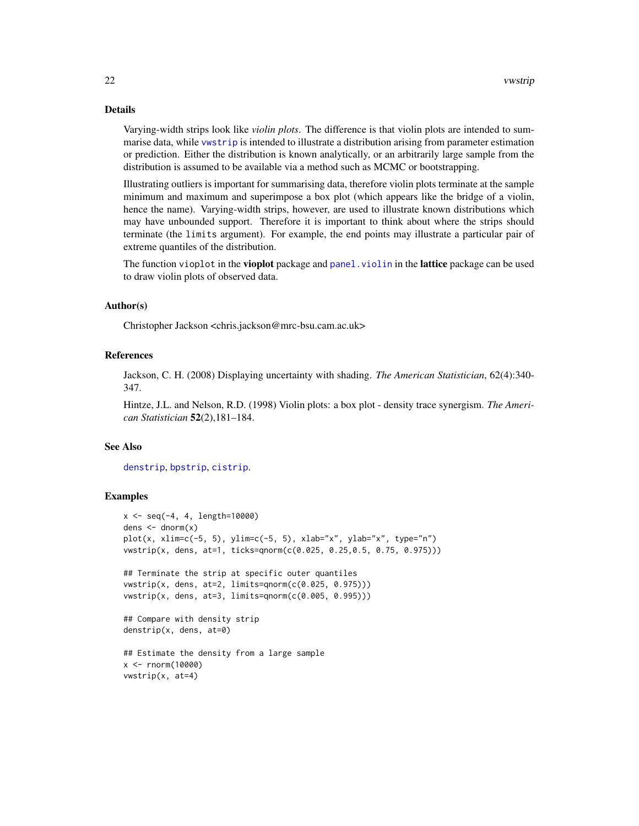### Details

Varying-width strips look like *violin plots*. The difference is that violin plots are intended to summarise data, while [vwstrip](#page-20-1) is intended to illustrate a distribution arising from parameter estimation or prediction. Either the distribution is known analytically, or an arbitrarily large sample from the distribution is assumed to be available via a method such as MCMC or bootstrapping.

Illustrating outliers is important for summarising data, therefore violin plots terminate at the sample minimum and maximum and superimpose a box plot (which appears like the bridge of a violin, hence the name). Varying-width strips, however, are used to illustrate known distributions which may have unbounded support. Therefore it is important to think about where the strips should terminate (the limits argument). For example, the end points may illustrate a particular pair of extreme quantiles of the distribution.

The function vioplot in the vioplot package and panel. violin in the lattice package can be used to draw violin plots of observed data.

### Author(s)

Christopher Jackson <chris.jackson@mrc-bsu.cam.ac.uk>

#### References

Jackson, C. H. (2008) Displaying uncertainty with shading. *The American Statistician*, 62(4):340- 347.

Hintze, J.L. and Nelson, R.D. (1998) Violin plots: a box plot - density trace synergism. *The American Statistician* 52(2),181–184.

### See Also

[denstrip](#page-10-1), [bpstrip](#page-2-1), [cistrip](#page-4-1).

```
x \le - seq(-4, 4, length=10000)
dens \leftarrow dnorm(x)plot(x, xlim=c(-5, 5), ylim=c(-5, 5), xlab="x", ylab="x", type="n")
vwstrip(x, dens, at=1, ticks=qnorm(c(0.025, 0.25,0.5, 0.75, 0.975)))
## Terminate the strip at specific outer quantiles
vwstrip(x, dens, at=2, limits=qnorm(c(0.025, 0.975)))
vwstrip(x, dens, at=3, limits=qnorm(c(0.005, 0.995)))
## Compare with density strip
denstrip(x, dens, at=0)
## Estimate the density from a large sample
x < - rnorm(10000)
vwstrip(x, at=4)
```
<span id="page-21-0"></span>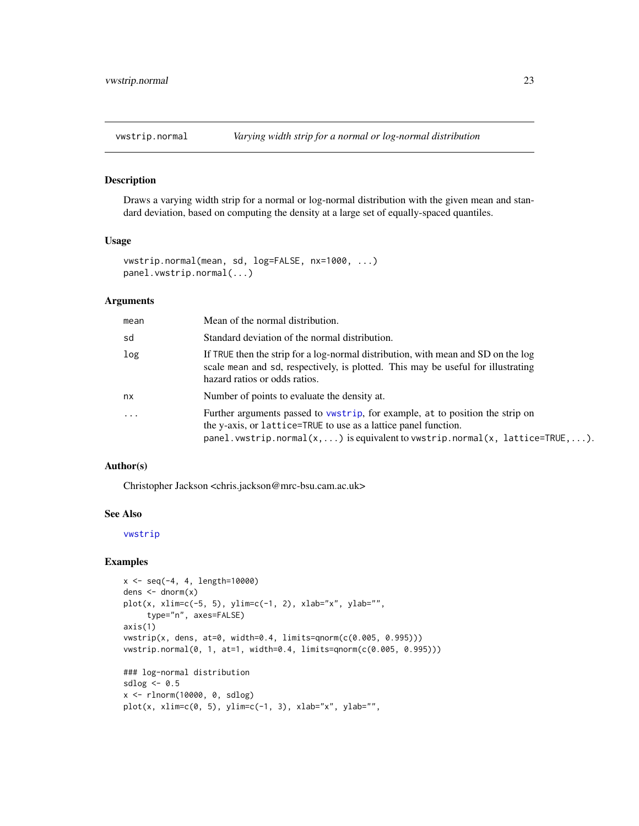<span id="page-22-1"></span><span id="page-22-0"></span>

Draws a varying width strip for a normal or log-normal distribution with the given mean and standard deviation, based on computing the density at a large set of equally-spaced quantiles.

### Usage

```
vwstrip.normal(mean, sd, log=FALSE, nx=1000, ...)
panel.vwstrip.normal(...)
```
### Arguments

| mean     | Mean of the normal distribution.                                                                                                                                                                                                |
|----------|---------------------------------------------------------------------------------------------------------------------------------------------------------------------------------------------------------------------------------|
| sd       | Standard deviation of the normal distribution.                                                                                                                                                                                  |
| log      | If TRUE then the strip for a log-normal distribution, with mean and SD on the log<br>scale mean and sd, respectively, is plotted. This may be useful for illustrating<br>hazard ratios or odds ratios.                          |
| nx       | Number of points to evaluate the density at.                                                                                                                                                                                    |
| $\ddots$ | Further arguments passed to vwstrip, for example, at to position the strip on<br>the y-axis, or lattice=TRUE to use as a lattice panel function.<br>panel.vwstrip.normal(x,) is equivalent to vwstrip.normal(x, lattice=TRUE,). |

### Author(s)

Christopher Jackson <chris.jackson@mrc-bsu.cam.ac.uk>

### See Also

[vwstrip](#page-20-1)

```
x \le - seq(-4, 4, length=10000)
dens \leq dnorm(x)plot(x, xlim=c(-5, 5), ylim=c(-1, 2), xlab="x", ylab="",
     type="n", axes=FALSE)
axis(1)
vwstrip(x, dens, at=0, width=0.4, limits=qnorm(c(0.005, 0.995)))
vwstrip.normal(0, 1, at=1, width=0.4, limits=qnorm(c(0.005, 0.995)))
### log-normal distribution
sdlog <-0.5x <- rlnorm(10000, 0, sdlog)
plot(x, xlim=c(0, 5), ylim=c(-1, 3), xlab="x", ylab="",
```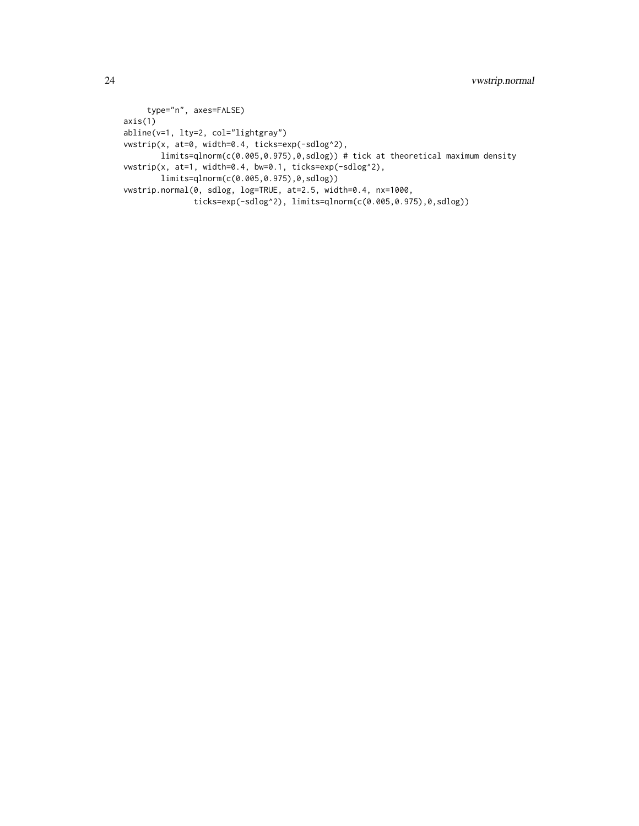```
type="n", axes=FALSE)
axis(1)
abline(v=1, lty=2, col="lightgray")
vwstrip(x, at=0, width=0.4, ticks=exp(-sdlog^2),
       limits=qlnorm(c(0.005,0.975),0,sdlog)) # tick at theoretical maximum density
vwstrip(x, at=1, width=0.4, bw=0.1, ticks=exp(-sdlog^2),
       limits=qlnorm(c(0.005,0.975),0,sdlog))
vwstrip.normal(0, sdlog, log=TRUE, at=2.5, width=0.4, nx=1000,
               ticks=exp(-sdlog^2), limits=qlnorm(c(0.005,0.975),0,sdlog))
```